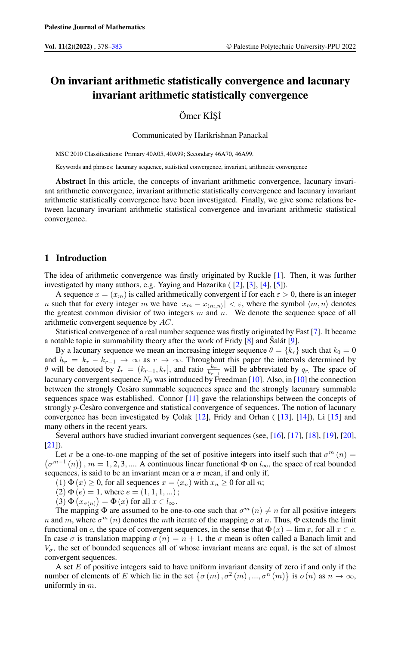# On invariant arithmetic statistically convergence and lacunary invariant arithmetic statistically convergence

Ömer KİSİ

Communicated by Harikrishnan Panackal

MSC 2010 Classifications: Primary 40A05, 40A99; Secondary 46A70, 46A99.

Keywords and phrases: lacunary sequence, statistical convergence, invariant, arithmetic convergence

Abstract In this article, the concepts of invariant arithmetic convergence, lacunary invariant arithmetic convergence, invariant arithmetic statistically convergence and lacunary invariant arithmetic statistically convergence have been investigated. Finally, we give some relations between lacunary invariant arithmetic statistical convergence and invariant arithmetic statistical convergence.

## 1 Introduction

The idea of arithmetic convergence was firstly originated by Ruckle [\[1\]](#page-4-1). Then, it was further investigated by many authors, e.g. Yaying and Hazarika ( [\[2\]](#page-4-2), [\[3\]](#page-4-3), [\[4\]](#page-4-4), [\[5\]](#page-4-5)).

A sequence  $x = (x_m)$  is called arithmetically convergent if for each  $\varepsilon > 0$ , there is an integer n such that for every integer m we have  $|x_m - x_{\langle m,n \rangle}| < \varepsilon$ , where the symbol  $\langle m,n \rangle$  denotes the greatest common divisior of two integers  $m$  and  $n$ . We denote the sequence space of all arithmetic convergent sequence by AC.

Statistical convergence of a real number sequence was firstly originated by Fast [\[7\]](#page-4-6). It became a notable topic in summability theory after the work of Fridy [\[8\]](#page-4-7) and Šalát [\[9\]](#page-4-8).

By a lacunary sequence we mean an increasing integer sequence  $\theta = \{k_r\}$  such that  $k_0 = 0$ and  $h_r = k_r - k_{r-1} \rightarrow \infty$  as  $r \rightarrow \infty$ . Throughout this paper the intervals determined by  $\theta$  will be denoted by  $I_r = (k_{r-1}, k_r]$ , and ratio  $\frac{k_r}{k_{r-1}}$  will be abbreviated by  $q_r$ . The space of lacunary convergent sequence  $N_\theta$  was introduced by Freedman [\[10\]](#page-4-9). Also, in [10] the connection between the strongly Cesàro summable sequences space and the strongly lacunary summable sequences space was established. Connor [\[11\]](#page-4-10) gave the relationships between the concepts of strongly p-Cesàro convergence and statistical convergence of sequences. The notion of lacunary convergence has been investigated by Çolak [\[12\]](#page-4-11), Fridy and Orhan ( [\[13\]](#page-4-12), [\[14\]](#page-4-13)), Li [\[15\]](#page-4-14) and many others in the recent years.

Several authors have studied invariant convergent sequences (see, [\[16\]](#page-5-0), [\[17\]](#page-5-1), [\[18\]](#page-5-2), [\[19\]](#page-5-3), [\[20\]](#page-5-4),  $[21]$ ).

Let  $\sigma$  be a one-to-one mapping of the set of positive integers into itself such that  $\sigma^m(n)$  =  $(\sigma^{m-1}(n))$ ,  $m = 1, 2, 3, ...$  A continuous linear functional  $\Phi$  on  $l_{\infty}$ , the space of real bounded sequences, is said to be an invariant mean or a  $\sigma$  mean, if and only if,

(1)  $\Phi(x) \ge 0$ , for all sequences  $x = (x_n)$  with  $x_n \ge 0$  for all *n*;

 $(2) \Phi(e) = 1$ , where  $e = (1, 1, 1, ...)$ ;

(3)  $\Phi(x_{\sigma(n)}) = \Phi(x)$  for all  $x \in l_{\infty}$ .

The mapping  $\Phi$  are assumed to be one-to-one such that  $\sigma^m(n) \neq n$  for all positive integers n and m, where  $\sigma^m(n)$  denotes the mth iterate of the mapping  $\sigma$  at n. Thus,  $\Phi$  extends the limit functional on c, the space of convergent sequences, in the sense that  $\Phi(x) = \lim x$ , for all  $x \in c$ . In case  $\sigma$  is translation mapping  $\sigma(n) = n + 1$ , the  $\sigma$  mean is often called a Banach limit and  $V_{\sigma}$ , the set of bounded sequences all of whose invariant means are equal, is the set of almost convergent sequences.

A set E of positive integers said to have uniform invariant density of zero if and only if the number of elements of E which lie in the set  $\{\sigma(m), \sigma^2(m), ..., \sigma^n(m)\}\$ is  $\sigma(n)$  as  $n \to \infty$ , uniformly in m.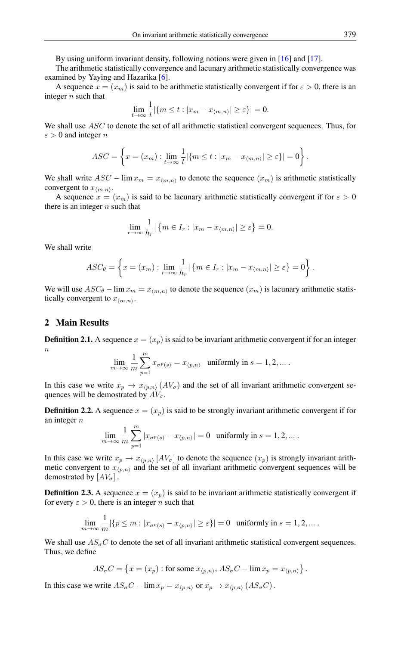By using uniform invariant density, following notions were given in [\[16\]](#page-5-0) and [\[17\]](#page-5-1).

The arithmetic statistically convergence and lacunary arithmetic statistically convergence was examined by Yaying and Hazarika [\[6\]](#page-4-15).

A sequence  $x = (x_m)$  is said to be arithmetic statistically convergent if for  $\varepsilon > 0$ , there is an integer  $n$  such that 1

$$
\lim_{t \to \infty} \frac{1}{t} |\{m \le t : |x_m - x_{\langle m, n \rangle}| \ge \varepsilon\}| = 0.
$$

We shall use ASC to denote the set of all arithmetic statistical convergent sequences. Thus, for  $\varepsilon > 0$  and integer n

$$
ASC = \left\{ x = (x_m) : \lim_{t \to \infty} \frac{1}{t} |\{ m \le t : |x_m - x_{\langle m, n \rangle}| \ge \varepsilon \}| = 0 \right\}.
$$

We shall write  $ASC - \lim x_m = x_{\langle m,n \rangle}$  to denote the sequence  $(x_m)$  is arithmetic statistically convergent to  $x_{\langle m,n\rangle}$ .

A sequence  $x = (x_m)$  is said to be lacunary arithmetic statistically convergent if for  $\varepsilon > 0$ there is an integer  $n$  such that

$$
\lim_{r \to \infty} \frac{1}{h_r} |\{m \in I_r : |x_m - x_{\langle m, n \rangle}| \ge \varepsilon\} = 0.
$$

We shall write

$$
ASC_{\theta} = \left\{ x = (x_m) : \lim_{r \to \infty} \frac{1}{h_r} | \left\{ m \in I_r : |x_m - x_{\langle m, n \rangle}| \ge \varepsilon \right\} = 0 \right\}.
$$

We will use  $ASC_{\theta} - \lim x_m = x_{\langle m,n \rangle}$  to denote the sequence  $(x_m)$  is lacunary arithmetic statistically convergent to  $x_{\langle m,n\rangle}$ .

## 2 Main Results

**Definition 2.1.** A sequence  $x = (x_p)$  is said to be invariant arithmetic convergent if for an integer  $\eta$ 

$$
\lim_{m\to\infty}\frac{1}{m}\sum_{p=1}^m x_{\sigma^p(s)}=x_{\langle p,n\rangle}\quad \text{uniformly in}\ s=1,2,\ldots\,.
$$

In this case we write  $x_p \rightarrow x_{(p,n)} (AV_\sigma)$  and the set of all invariant arithmetic convergent sequences will be demostrated by  $AV_{\sigma}$ .

**Definition 2.2.** A sequence  $x = (x_p)$  is said to be strongly invariant arithmetic convergent if for an integer n  $\overline{m}$ 

$$
\lim_{m \to \infty} \frac{1}{m} \sum_{p=1}^{m} |x_{\sigma^p(s)} - x_{\langle p, n \rangle}| = 0 \text{ uniformly in } s = 1, 2, \dots.
$$

In this case we write  $x_p \to x_{\langle p,n\rangle}$  [AV<sub>σ</sub>] to denote the sequence  $(x_p)$  is strongly invariant arithmetic convergent to  $x_{\langle p,n\rangle}$  and the set of all invariant arithmetic convergent sequences will be demostrated by  $[AV_{\sigma}]$ .

**Definition 2.3.** A sequence  $x = (x_p)$  is said to be invariant arithmetic statistically convergent if for every  $\varepsilon > 0$ , there is an integer *n* such that

$$
\lim_{m \to \infty} \frac{1}{m} |\{ p \le m : |x_{\sigma^p(s)} - x_{\langle p, n \rangle}| \ge \varepsilon \}| = 0 \text{ uniformly in } s = 1, 2, ...
$$

We shall use  $AS_{\sigma}C$  to denote the set of all invariant arithmetic statistical convergent sequences. Thus, we define

$$
AS_{\sigma}C = \{x = (x_p) : \text{for some } x_{\langle p,n \rangle}, AS_{\sigma}C - \lim x_p = x_{\langle p,n \rangle}\}.
$$

In this case we write  $AS_{\sigma}C - \lim_{p \to \infty} x_p = x_{\langle p,n \rangle}$  or  $x_p \to x_{\langle p,n \rangle} (AS_{\sigma}C)$ .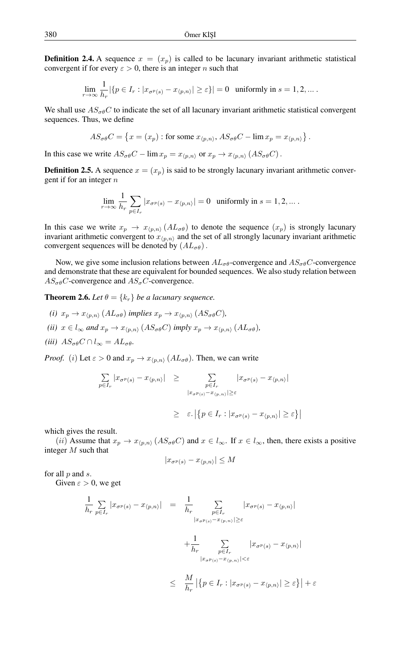**Definition 2.4.** A sequence  $x = (x_p)$  is called to be lacunary invariant arithmetic statistical convergent if for every  $\varepsilon > 0$ , there is an integer n such that

$$
\lim_{r \to \infty} \frac{1}{h_r} |\{p \in I_r : |x_{\sigma^p(s)} - x_{\langle p, n \rangle}| \ge \varepsilon\}| = 0 \text{ uniformly in } s = 1, 2, ...
$$

We shall use  $AS_{\alpha\beta}C$  to indicate the set of all lacunary invariant arithmetic statistical convergent sequences. Thus, we define

$$
AS_{\sigma\theta}C = \{x = (x_p) : \text{for some } x_{\langle p,n\rangle}, AS_{\sigma\theta}C - \lim x_p = x_{\langle p,n\rangle}\}.
$$

In this case we write  $AS_{\sigma\theta}C - \lim x_p = x_{p,n}$  or  $x_p \to x_{p,n}$   $(AS_{\sigma\theta}C)$ .

**Definition 2.5.** A sequence  $x = (x_p)$  is said to be strongly lacunary invariant arithmetic convergent if for an integer  $n$ 

$$
\lim_{r \to \infty} \frac{1}{h_r} \sum_{p \in I_r} |x_{\sigma^p(s)} - x_{\langle p, n \rangle}| = 0 \text{ uniformly in } s = 1, 2, \dots.
$$

In this case we write  $x_p \to x_{\langle p,n \rangle} (A L_{\sigma \theta})$  to denote the sequence  $(x_p)$  is strongly lacunary invariant arithmetic convergent to  $x_{(p,n)}$  and the set of all strongly lacunary invariant arithmetic convergent sequences will be denoted by  $(AL_{\sigma\theta})$ .

Now, we give some inclusion relations between  $AL_{\sigma\theta}$ -convergence and  $AS_{\sigma\theta}C$ -convergence and demonstrate that these are equivalent for bounded sequences. We also study relation between  $AS_{\sigma\theta}C$ -convergence and  $AS_{\sigma}C$ -convergence.

**Theorem 2.6.** Let  $\theta = \{k_r\}$  be a lacunary sequence.

- *(i)*  $x_p \to x_{\langle p,n \rangle} (AL_{\sigma \theta})$  *implies*  $x_p \to x_{\langle p,n \rangle} (AS_{\sigma \theta}C)$ *,*
- *(ii)*  $x \in l_{\infty}$  *and*  $x_p \to x_{(p,n)}$   $(AS_{\sigma\theta}C)$  *imply*  $x_p \to x_{(p,n)}$   $(AL_{\sigma\theta})$ *,*
- *(iii)*  $AS_{\sigma\theta}C \cap l_{\infty} = AL_{\sigma\theta}$ .

*Proof.* (i) Let  $\varepsilon > 0$  and  $x_p \to x_{(p,n)} (AL_{\sigma\theta})$ . Then, we can write

$$
\sum_{p \in I_r} |x_{\sigma^p(s)} - x_{\langle p,n \rangle}| \ge \sum_{\substack{p \in I_r \\ |x_{\sigma^p(s)} - x_{\langle p,n \rangle}| \ge \varepsilon}} |x_{\sigma^p(s)} - x_{\langle p,n \rangle}|
$$
  

$$
\ge \varepsilon. |\{p \in I_r : |x_{\sigma^p(s)} - x_{\langle p,n \rangle}| \ge \varepsilon\}|
$$

which gives the result.

(ii) Assume that  $x_p \to x_{(p,n)} (AS_{\sigma\theta}C)$  and  $x \in l_{\infty}$ . If  $x \in l_{\infty}$ , then, there exists a positive integer M such that

$$
|x_{\sigma^p(s)} - x_{\langle p,n \rangle}| \le M
$$

for all  $p$  and  $s$ .

Given  $\varepsilon > 0$ , we get

$$
\frac{1}{h_r} \sum_{p \in I_r} |x_{\sigma^p(s)} - x_{\langle p, n \rangle}| = \frac{1}{h_r} \sum_{\substack{p \in I_r \\ |x_{\sigma^p(s)} - x_{\langle p, n \rangle}| \ge \varepsilon}} |x_{\sigma^p(s)} - x_{\langle p, n \rangle}|
$$
  

$$
+ \frac{1}{h_r} \sum_{\substack{p \in I_r \\ |x_{\sigma^p(s)} - x_{\langle p, n \rangle}| < \varepsilon}} |x_{\sigma^p(s)} - x_{\langle p, n \rangle}|
$$
  

$$
\leq \frac{M}{h_r} |\{p \in I_r : |x_{\sigma^p(s)} - x_{\langle p, n \rangle}| \ge \varepsilon\}| + \varepsilon
$$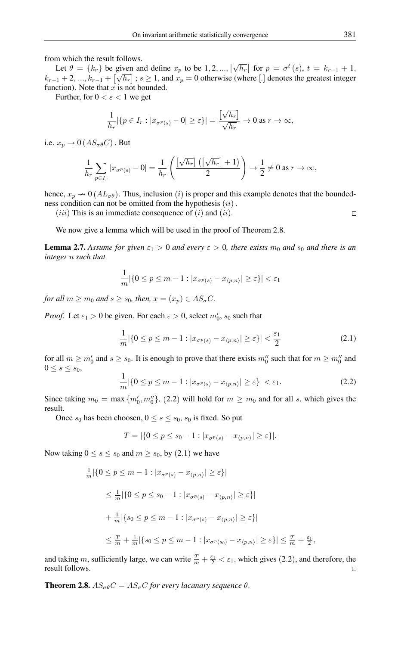from which the result follows.

Let  $\theta = \{k_r\}$  be given and define  $x_p$  to be 1, 2, ...,  $[\sqrt{h_r}]$  for  $p = \sigma^t(s)$ ,  $t = k_{r-1} + 1$ ,  $k_{r-1}$  + 2, ...,  $k_{r-1}$  +  $\lfloor \sqrt{h_r} \rfloor$ ;  $s \ge 1$ , and  $x_p = 0$  otherwise (where [.] denotes the greatest integer function). Note that  $x$  is not bounded.

Further, for  $0 < \varepsilon < 1$  we get

$$
\frac{1}{h_r} |\{p \in I_r : |x_{\sigma^p(s)} - 0| \ge \varepsilon\}| = \frac{\left[\sqrt{h_r}\right]}{\sqrt{h_r}} \to 0 \text{ as } r \to \infty,
$$

i.e.  $x_p \rightarrow 0$  ( $AS_{\sigma\theta}C$ ). But

$$
\frac{1}{h_r} \sum_{p \in I_r} |x_{\sigma^p(s)} - 0| = \frac{1}{h_r} \left( \frac{\left[\sqrt{h_r}\right] \left(\left[\sqrt{h_r}\right] + 1\right)}{2} \right) \to \frac{1}{2} \neq 0 \text{ as } r \to \infty,
$$

hence,  $x_p \rightarrow 0$  ( $AL_{\sigma\theta}$ ). Thus, inclusion (i) is proper and this example denotes that the boundedness condition can not be omitted from the hypothesis  $(ii)$ .

(*iii*) This is an immediate consequence of  $(i)$  and  $(ii)$ .

We now give a lemma which will be used in the proof of Theorem 2.8.

**Lemma 2.7.** Assume for given  $\varepsilon_1 > 0$  and every  $\varepsilon > 0$ , there exists  $m_0$  and  $s_0$  and there is an *integer* n *such that*

$$
\frac{1}{m}|\{0 \le p \le m - 1 : |x_{\sigma^p(s)} - x_{\langle p,n\rangle}| \ge \varepsilon\}| < \varepsilon_1
$$

*for all*  $m \ge m_0$  *and*  $s \ge s_0$ *, then,*  $x = (x_p) \in AS_\sigma C$ .

*Proof.* Let  $\varepsilon_1 > 0$  be given. For each  $\varepsilon > 0$ , select  $m'_0$ ,  $s_0$  such that

$$
\frac{1}{m}|\{0 \le p \le m - 1 : |x_{\sigma^p(s)} - x_{\langle p, n \rangle}| \ge \varepsilon\}| < \frac{\varepsilon_1}{2} \tag{2.1}
$$

for all  $m \ge m'_0$  and  $s \ge s_0$ . It is enough to prove that there exists  $m''_0$  such that for  $m \ge m''_0$  and  $0 \leq s \leq s_0$ ,

$$
\frac{1}{m}|\{0 \le p \le m-1 : |x_{\sigma^p(s)} - x_{\langle p,n\rangle}| \ge \varepsilon\}| < \varepsilon_1. \tag{2.2}
$$

Since taking  $m_0 = \max \{m'_0, m''_0\}$ , (2.2) will hold for  $m \ge m_0$  and for all s, which gives the result.

Once  $s_0$  has been choosen,  $0 \le s \le s_0$ ,  $s_0$  is fixed. So put

$$
T = |\{0 \le p \le s_0 - 1 : |x_{\sigma^p(s)} - x_{\langle p, n \rangle}| \ge \varepsilon\}|.
$$

Now taking  $0 \le s \le s_0$  and  $m \ge s_0$ , by (2.1) we have

$$
\frac{1}{m} |\{0 \le p \le m - 1 : |x_{\sigma^p(s)} - x_{\langle p,n \rangle}| \ge \varepsilon\}|
$$
\n
$$
\le \frac{1}{m} |\{0 \le p \le s_0 - 1 : |x_{\sigma^p(s)} - x_{\langle p,n \rangle}| \ge \varepsilon\}|
$$
\n
$$
+ \frac{1}{m} |\{s_0 \le p \le m - 1 : |x_{\sigma^p(s)} - x_{\langle p,n \rangle}| \ge \varepsilon\}|
$$
\n
$$
\le \frac{T}{m} + \frac{1}{m} |\{s_0 \le p \le m - 1 : |x_{\sigma^p(s_0)} - x_{\langle p,n \rangle}| \ge \varepsilon\}| \le \frac{T}{m} + \frac{\varepsilon_1}{2},
$$

and taking m, sufficiently large, we can write  $\frac{T}{m} + \frac{\varepsilon_1}{2} < \varepsilon_1$ , which gives (2.2), and therefore, the result follows.

**Theorem 2.8.**  $AS_{\sigma\theta}C = AS_{\sigma}C$  *for every lacanary sequence*  $\theta$ .

 $\Box$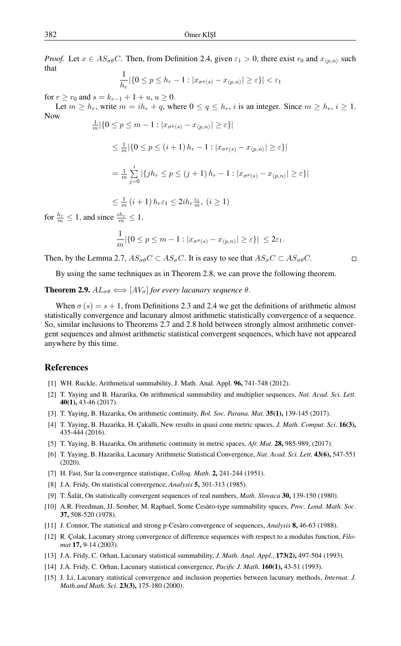*Proof.* Let  $x \in AS_{\sigma\theta}C$ . Then, from Definition 2.4, given  $\varepsilon_1 > 0$ , there exist  $r_0$  and  $x_{(n,n)}$  such that

$$
\frac{1}{h_r} |\{0 \le p \le h_r - 1 : |x_{\sigma^p(s)} - x_{\langle p, n \rangle}| \ge \varepsilon\}| < \varepsilon_1
$$

for  $r > r_0$  and  $s = k_{r-1} + 1 + u, u > 0$ .

Let  $m \ge h_r$ , write  $m = ih_r + q$ , where  $0 \le q \le h_r$ , i is an integer. Since  $m \ge h_r$ ,  $i \ge 1$ . Now

$$
\frac{1}{m} |\{0 \le p \le m - 1 : |x_{\sigma^p(s)} - x_{\langle p, n \rangle}| \ge \varepsilon\}|
$$
\n
$$
\le \frac{1}{m} |\{0 \le p \le (i+1) h_r - 1 : |x_{\sigma^p(s)} - x_{\langle p, n \rangle}| \ge \varepsilon\}|
$$
\n
$$
= \frac{1}{m} \sum_{j=0}^i |\{jh_r \le p \le (j+1) h_r - 1 : |x_{\sigma^p(s)} - x_{\langle p, n \rangle}| \ge \varepsilon\}|
$$

$$
\leq \frac{1}{m} \left( i + 1 \right) h_r \varepsilon_1 \leq 2i h_r \frac{\varepsilon_1}{m}, \ (i \geq 1)
$$

for  $\frac{h_r}{m} \leq 1$ , and since  $\frac{ih_r}{m} \leq 1$ ,

$$
\frac{1}{m}|\{0 \le p \le m-1 : |x_{\sigma^p(s)} - x_{\langle p,n\rangle}| \ge \varepsilon\}| \le 2\varepsilon_1.
$$

Then, by the Lemma 2.7,  $AS_{\sigma\theta}C \subset AS_{\sigma}C$ . It is easy to see that  $AS_{\sigma}C \subset AS_{\sigma\theta}C$ .

 $\Box$ 

By using the same techniques as in Theorem 2.8, we can prove the following theorem.

## **Theorem 2.9.**  $AL_{\sigma\theta} \Longleftrightarrow [AV_{\sigma}]$  *for every lacanary sequence*  $\theta$ .

When  $\sigma(s) = s + 1$ , from Definitions 2.3 and 2.4 we get the definitions of arithmetic almost statistically convergence and lacunary almost arithmetic statistically convergence of a sequence. So, similar inclusions to Theorems 2.7 and 2.8 hold between strongly almost arithmetic convergent sequences and almost arithmetic statistical convergent sequences, which have not appeared anywhere by this time.

## <span id="page-4-0"></span>References

- <span id="page-4-1"></span>[1] WH. Ruckle, Arithmetical summability, J. Math. Anal. Appl. 96, 741-748 (2012).
- <span id="page-4-2"></span>[2] T. Yaying and B. Hazarika, On arithmetical summability and multiplier sequences, *Nat. Acad. Sci. Lett*. 40(1), 43-46 (2017).
- <span id="page-4-3"></span>[3] T. Yaying, B. Hazarika, On arithmetic continuity, *Bol. Soc. Parana. Mat.* 35(1), 139-145 (2017).
- <span id="page-4-4"></span>[4] T. Yaying, B. Hazarika, H. Çakalli, New results in quasi cone metric spaces, *J. Math. Comput. Sci*. 16(3), 435-444 (2016).
- <span id="page-4-5"></span>[5] T. Yaying, B. Hazarika, On arithmetic continuity in metric spaces, *Afr. Mat*. 28, 985-989, (2017).
- <span id="page-4-15"></span>[6] T. Yaying, B. Hazarika, Lacunary Arithmetic Statistical Convergence, *Nat. Acad. Sci. Lett*. 43(6), 547-551 (2020).
- <span id="page-4-6"></span>[7] H. Fast, Sur la convergence statistique, *Colloq. Math*. 2, 241-244 (1951).
- <span id="page-4-7"></span>[8] J.A. Fridy, On statistical convergence, *Analysis* 5, 301-313 (1985).
- <span id="page-4-8"></span>[9] T. Šalát, On statistically convergent sequences of real numbers, *Math. Slovaca* 30, 139-150 (1980).
- <span id="page-4-9"></span>[10] A.R. Freedman, JJ. Sember, M. Raphael, Some Cesàro-type summability spaces, *Proc. Lond. Math. Soc*. 37, 508-520 (1978).
- <span id="page-4-10"></span>[11] J. Connor, The statistical and strong p-Cesàro convergence of sequences, *Analysis* 8, 46-63 (1988).
- <span id="page-4-11"></span>[12] R. Çolak, Lacunary strong convergence of difference sequences with respect to a modulus function, *Filomat* 17, 9-14 (2003).
- <span id="page-4-12"></span>[13] J.A. Fridy, C. Orhan, Lacunary statistical summability, *J. Math. Anal. Appl.*, 173(2), 497-504 (1993).
- <span id="page-4-13"></span>[14] J.A. Fridy, C. Orhan, Lacunary statistical convergence, *Pacific J. Math*. 160(1), 43-51 (1993).
- <span id="page-4-14"></span>[15] J. Li, Lacunary statistical convergence and inclusion properties between lacunary methods, *Internat. J. Math.and Math. Sci.* 23(3), 175-180 (2000).